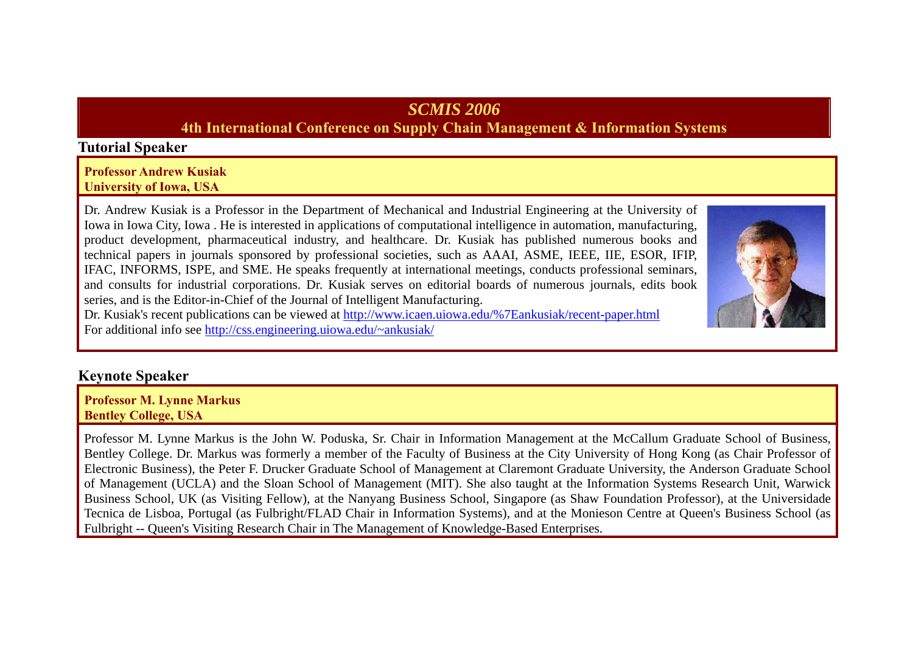# *SCMIS 2006*

## **4th International Conference on Supply Chain Management & Information Systems**

### **Tutorial Speaker**

#### **Professor Andrew Kusiak University of Iowa, USA**

Dr. Andrew Kusiak is a Professor in the Department of Mechanical and Industrial Engineering at the University of Iowa in Iowa City, Iowa . He is interested in applications of computational intelligence in automation, manufacturing, product development, pharmaceutical industry, and healthcare. Dr. Kusiak has published numerous books and technical papers in journals sponsored by professional societies, such as AAAI, ASME, IEEE, IIE, ESOR, IFIP, IFAC, INFORMS, ISPE, and SME. He speaks frequently at international meetings, conducts professional seminars, and consults for industrial corporations. Dr. Kusiak serves on editorial boards of numerous journals, edits book series, and is the Editor-in-Chief of the Journal of Intelligent Manufacturing.



Dr. Kusiak's recent publications can be viewed at http://www.icaen.uiowa.edu/%7Eankusiak/recent-paper.html For additional info see http://css.engineering.uiowa.edu/~ankusiak/

## **Keynote Speaker**

**Professor M. Lynne Markus Bentley College, USA**

Professor M. Lynne Markus is the John W. Poduska, Sr. Chair in Information Management at the McCallum Graduate School of Business, Bentley College. Dr. Markus was formerly a member of the Faculty of Business at the City University of Hong Kong (as Chair Professor of Electronic Business), the Peter F. Drucker Graduate School of Management at Claremont Graduate University, the Anderson Graduate School of Management (UCLA) and the Sloan School of Management (MIT). She also taught at the Information Systems Research Unit, Warwick Business School, UK (as Visiting Fellow), at the Nanyang Business School, Singapore (as Shaw Foundation Professor), at the Universidade Tecnica de Lisboa, Portugal (as Fulbright/FLAD Chair in Information Systems), and at the Monieson Centre at Queen's Business School (as Fulbright -- Queen's Visiting Research Chair in The Management of Knowledge-Based Enterprises.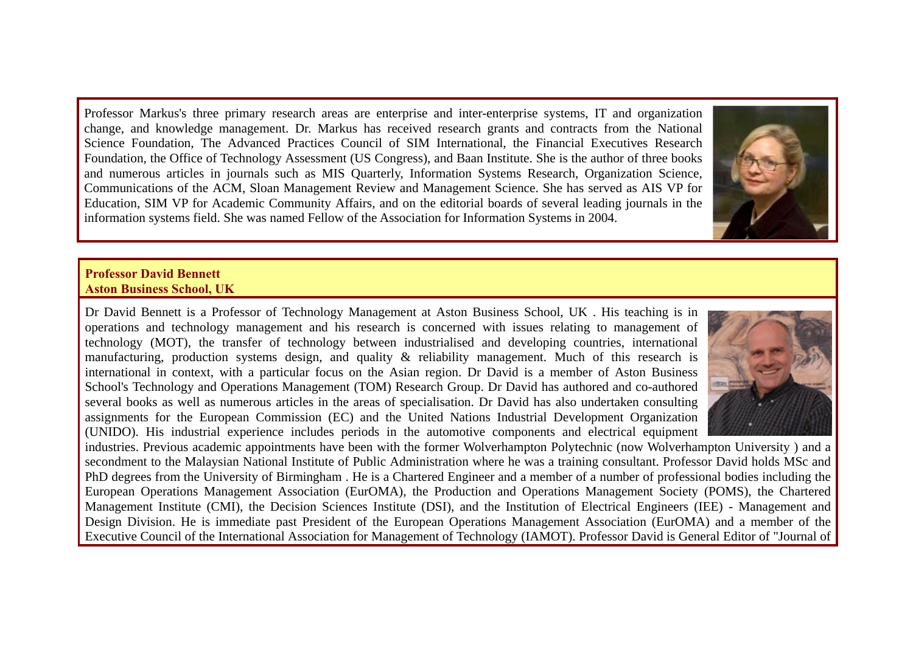Professor Markus's three primary research areas are enterprise and inter-enterprise systems, IT and organization change, and knowledge management. Dr. Markus has received research grants and contracts from the National Science Foundation, The Advanced Practices Council of SIM International, the Financial Executives Research Foundation, the Office of Technology Assessment (US Congress), and Baan Institute. She is the author of three books and numerous articles in journals such as MIS Quarterly, Information Systems Research, Organization Science, Communications of the ACM, Sloan Management Review and Management Science. She has served as AIS VP for Education, SIM VP for Academic Community Affairs, and on the editorial boards of several leading journals in the information systems field. She was named Fellow of the Association for Information Systems in 2004.



#### **Professor David Bennett Aston Business School, UK**

Dr David Bennett is a Professor of Technology Management at Aston Business School, UK . His teaching is in operations and technology management and his research is concerned with issues relating to management of technology (MOT), the transfer of technology between industrialised and developing countries, international manufacturing, production systems design, and quality & reliability management. Much of this research is international in context, with a particular focus on the Asian region. Dr David is a member of Aston Business School's Technology and Operations Management (TOM) Research Group. Dr David has authored and co-authored several books as well as numerous articles in the areas of specialisation. Dr David has also undertaken consulting assignments for the European Commission (EC) and the United Nations Industrial Development Organization (UNIDO). His industrial experience includes periods in the automotive components and electrical equipment



industries. Previous academic appointments have been with the former Wolverhampton Polytechnic (now Wolverhampton University ) and a secondment to the Malaysian National Institute of Public Administration where he was a training consultant. Professor David holds MSc and PhD degrees from the University of Birmingham . He is a Chartered Engineer and a member of a number of professional bodies including the European Operations Management Association (EurOMA), the Production and Operations Management Society (POMS), the Chartered Management Institute (CMI), the Decision Sciences Institute (DSI), and the Institution of Electrical Engineers (IEE) - Management and Design Division. He is immediate past President of the European Operations Management Association (EurOMA) and a member of the Executive Council of the International Association for Management of Technology (IAMOT). Professor David is General Editor of "Journal of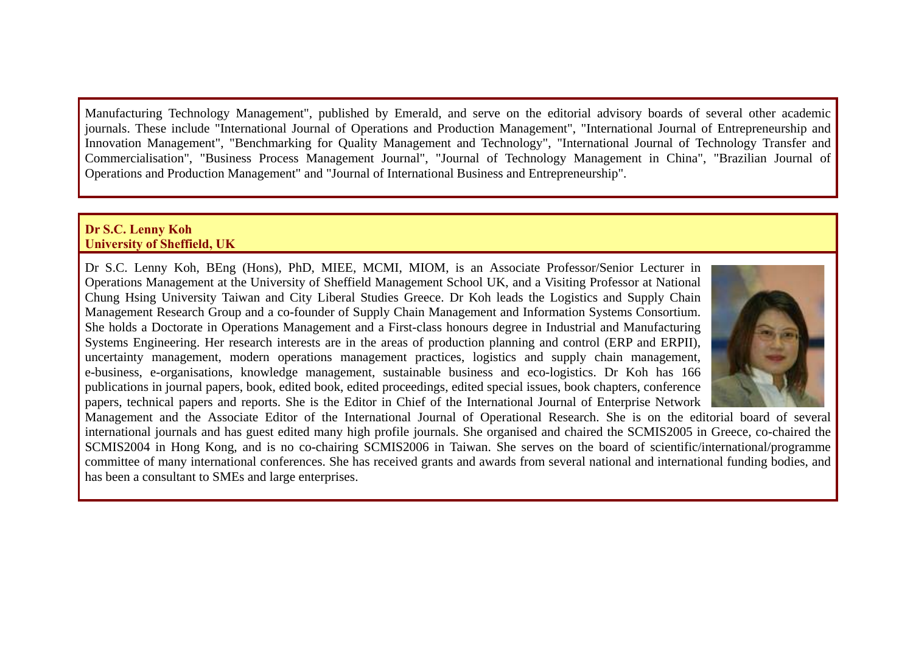Manufacturing Technology Management", published by Emerald, and serve on the editorial advisory boards of several other academic journals. These include "International Journal of Operations and Production Management", "International Journal of Entrepreneurship and Innovation Management", "Benchmarking for Quality Management and Technology", "International Journal of Technology Transfer and Commercialisation", "Business Process Management Journal", "Journal of Technology Management in China", "Brazilian Journal of Operations and Production Management" and "Journal of International Business and Entrepreneurship".

#### **Dr S.C. Lenny Koh University of Sheffield, UK**

Dr S.C. Lenny Koh, BEng (Hons), PhD, MIEE, MCMI, MIOM, is an Associate Professor/Senior Lecturer in Operations Management at the University of Sheffield Management School UK, and a Visiting Professor at National Chung Hsing University Taiwan and City Liberal Studies Greece. Dr Koh leads the Logistics and Supply Chain Management Research Group and a co-founder of Supply Chain Management and Information Systems Consortium. She holds a Doctorate in Operations Management and a First-class honours degree in Industrial and Manufacturing Systems Engineering. Her research interests are in the areas of production planning and control (ERP and ERPII), uncertainty management, modern operations management practices, logistics and supply chain management, e-business, e-organisations, knowledge management, sustainable business and eco-logistics. Dr Koh has 166 publications in journal papers, book, edited book, edited proceedings, edited special issues, book chapters, conference papers, technical papers and reports. She is the Editor in Chief of the International Journal of Enterprise Network



Management and the Associate Editor of the International Journal of Operational Research. She is on the editorial board of several international journals and has guest edited many high profile journals. She organised and chaired the SCMIS2005 in Greece, co-chaired the SCMIS2004 in Hong Kong, and is no co-chairing SCMIS2006 in Taiwan. She serves on the board of scientific/international/programme committee of many international conferences. She has received grants and awards from several national and international funding bodies, and has been a consultant to SMEs and large enterprises.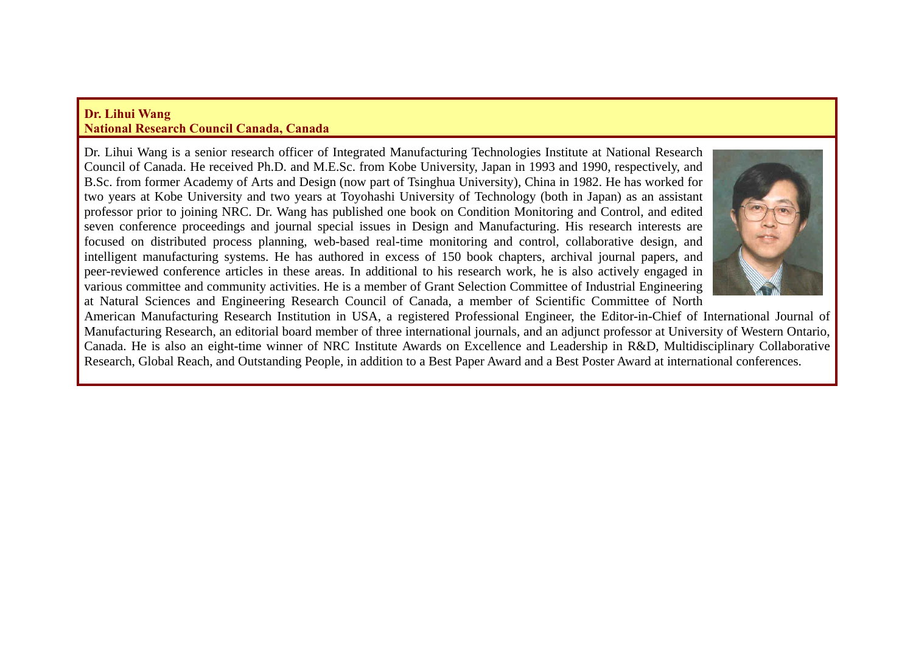#### **Dr. Lihui Wang National Research Council Canada, Canada**

Dr. Lihui Wang is a senior research officer of Integrated Manufacturing Technologies Institute at National Research Council of Canada. He received Ph.D. and M.E.Sc. from Kobe University, Japan in 1993 and 1990, respectively, and B.Sc. from former Academy of Arts and Design (now part of Tsinghua University), China in 1982. He has worked for two years at Kobe University and two years at Toyohashi University of Technology (both in Japan) as an assistant professor prior to joining NRC. Dr. Wang has published one book on Condition Monitoring and Control, and edited seven conference proceedings and journal special issues in Design and Manufacturing. His research interests are focused on distributed process planning, web-based real-time monitoring and control, collaborative design, and intelligent manufacturing systems. He has authored in excess of 150 book chapters, archival journal papers, and peer-reviewed conference articles in these areas. In additional to his research work, he is also actively engaged in various committee and community activities. He is a member of Grant Selection Committee of Industrial Engineering at Natural Sciences and Engineering Research Council of Canada, a member of Scientific Committee of North



American Manufacturing Research Institution in USA, a registered Professional Engineer, the Editor-in-Chief of International Journal of Manufacturing Research, an editorial board member of three international journals, and an adjunct professor at University of Western Ontario, Canada. He is also an eight-time winner of NRC Institute Awards on Excellence and Leadership in R&D, Multidisciplinary Collaborative Research, Global Reach, and Outstanding People, in addition to a Best Paper Award and a Best Poster Award at international conferences.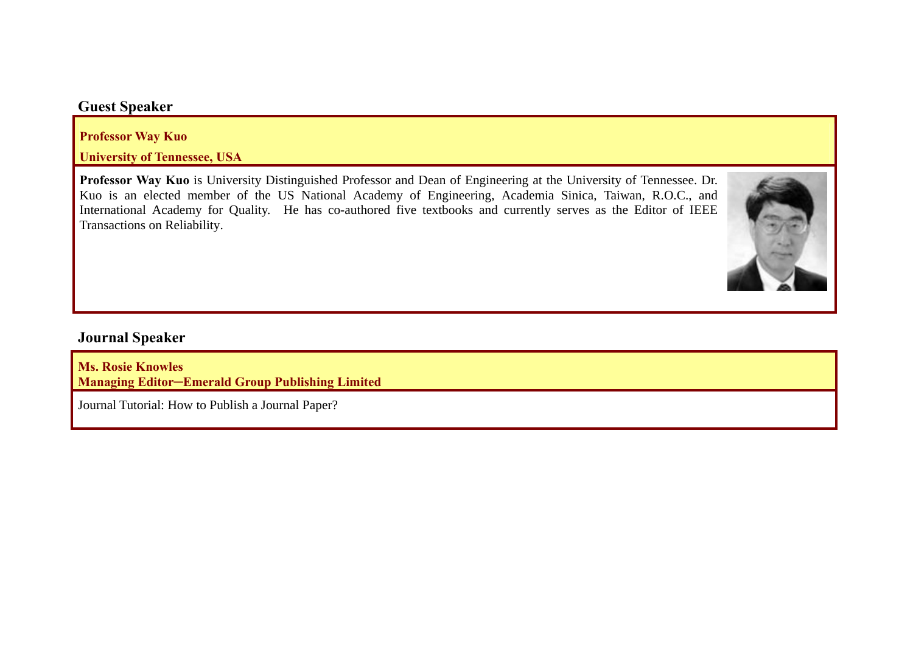### **Guest Speaker**

**Professor Way Kuo** 

**University of Tennessee, USA**

**Professor Way Kuo** is University Distinguished Professor and Dean of Engineering at the University of Tennessee. Dr. Kuo is an elected member of the US National Academy of Engineering, Academia Sinica, Taiwan, R.O.C., and International Academy for Quality. He has co-authored five textbooks and currently serves as the Editor of IEEE Transactions on Reliability.



## **Journal Speaker**

**Ms. Rosie Knowles Managing Editor─Emerald Group Publishing Limited**

Journal Tutorial: How to Publish a Journal Paper?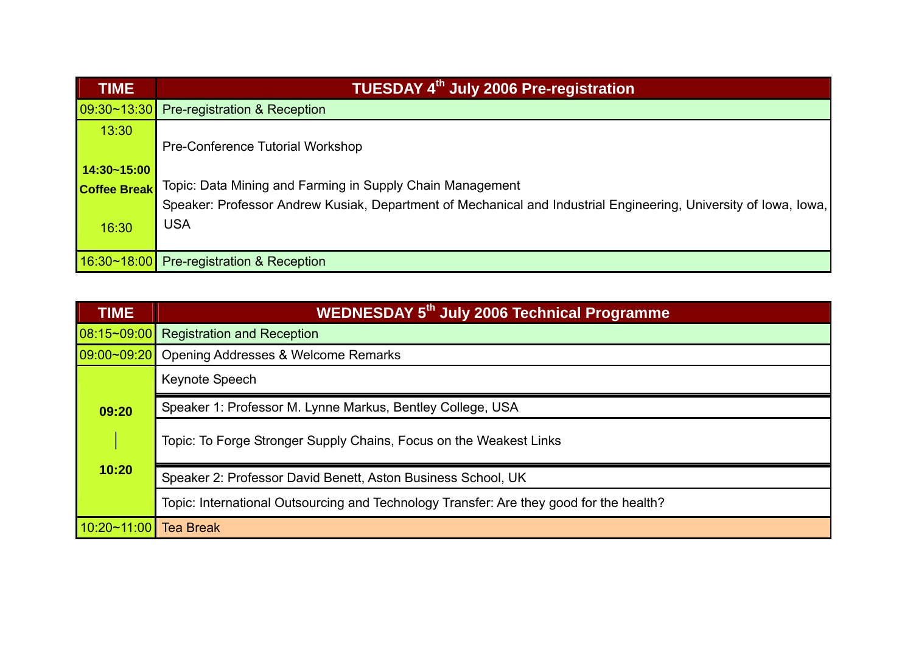| <b>TIME</b>         | TUESDAY 4th July 2006 Pre-registration                                                                             |
|---------------------|--------------------------------------------------------------------------------------------------------------------|
|                     | 09:30~13:30 Pre-registration & Reception                                                                           |
| 13:30               |                                                                                                                    |
|                     | Pre-Conference Tutorial Workshop                                                                                   |
| $14:30 - 15:00$     |                                                                                                                    |
| <b>Coffee Break</b> | Topic: Data Mining and Farming in Supply Chain Management                                                          |
|                     | Speaker: Professor Andrew Kusiak, Department of Mechanical and Industrial Engineering, University of Iowa, Iowa, I |
| 16:30               | <b>USA</b>                                                                                                         |
|                     |                                                                                                                    |
| 16:30~18.00         | <b>Pre-registration &amp; Reception</b>                                                                            |

| <b>TIME</b>       | <b>WEDNESDAY 5th July 2006 Technical Programme</b>                                      |  |  |  |  |  |  |  |
|-------------------|-----------------------------------------------------------------------------------------|--|--|--|--|--|--|--|
| $ 08:15 - 09:00 $ | <b>Registration and Reception</b>                                                       |  |  |  |  |  |  |  |
| 09:00~09:20       | Opening Addresses & Welcome Remarks                                                     |  |  |  |  |  |  |  |
|                   | Keynote Speech                                                                          |  |  |  |  |  |  |  |
| 09:20             | Speaker 1: Professor M. Lynne Markus, Bentley College, USA                              |  |  |  |  |  |  |  |
|                   | Topic: To Forge Stronger Supply Chains, Focus on the Weakest Links                      |  |  |  |  |  |  |  |
| 10:20             | Speaker 2: Professor David Benett, Aston Business School, UK                            |  |  |  |  |  |  |  |
|                   | Topic: International Outsourcing and Technology Transfer: Are they good for the health? |  |  |  |  |  |  |  |
| 10:20~11:00       | <b>Tea Break</b>                                                                        |  |  |  |  |  |  |  |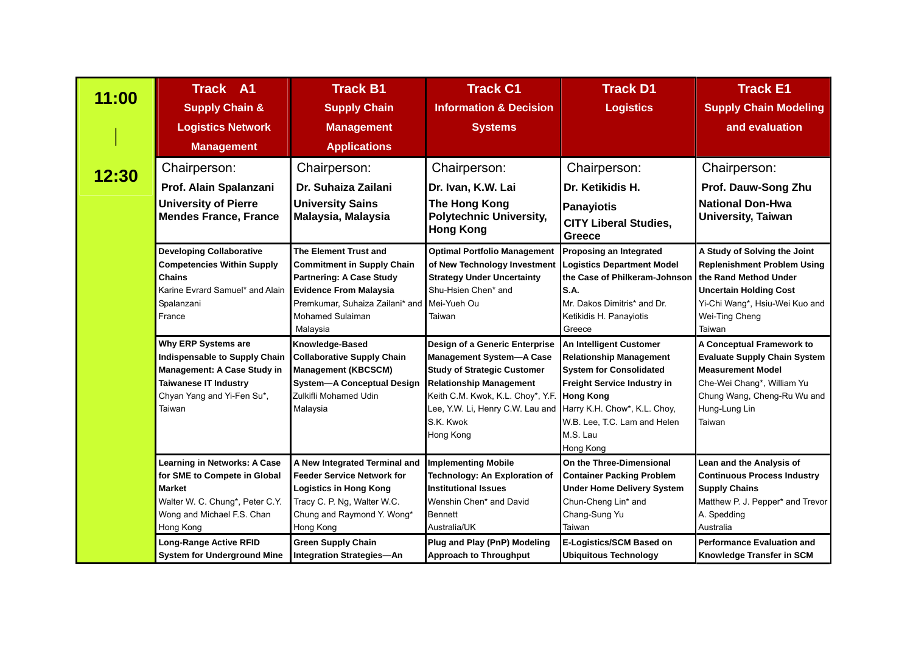|       | <b>Track B1</b><br><b>Track A1</b>                                                                                                        |                                                                                                                                                                                                     | <b>Track C1</b>                                                                                                                                          | <b>Track D1</b>                                                                                                                                                 | <b>Track E1</b>                                                                                                                                                                  |  |
|-------|-------------------------------------------------------------------------------------------------------------------------------------------|-----------------------------------------------------------------------------------------------------------------------------------------------------------------------------------------------------|----------------------------------------------------------------------------------------------------------------------------------------------------------|-----------------------------------------------------------------------------------------------------------------------------------------------------------------|----------------------------------------------------------------------------------------------------------------------------------------------------------------------------------|--|
| 11:00 | <b>Supply Chain &amp;</b>                                                                                                                 | <b>Supply Chain</b>                                                                                                                                                                                 | <b>Information &amp; Decision</b>                                                                                                                        | <b>Logistics</b>                                                                                                                                                | <b>Supply Chain Modeling</b>                                                                                                                                                     |  |
|       | <b>Logistics Network</b>                                                                                                                  | <b>Management</b>                                                                                                                                                                                   | <b>Systems</b>                                                                                                                                           |                                                                                                                                                                 | and evaluation                                                                                                                                                                   |  |
|       | <b>Management</b>                                                                                                                         | <b>Applications</b>                                                                                                                                                                                 |                                                                                                                                                          |                                                                                                                                                                 |                                                                                                                                                                                  |  |
| 12:30 | Chairperson:                                                                                                                              | Chairperson:                                                                                                                                                                                        | Chairperson:                                                                                                                                             | Chairperson:                                                                                                                                                    | Chairperson:                                                                                                                                                                     |  |
|       | Prof. Alain Spalanzani                                                                                                                    | Dr. Suhaiza Zailani                                                                                                                                                                                 | Dr. Ivan, K.W. Lai                                                                                                                                       | Dr. Ketikidis H.                                                                                                                                                | Prof. Dauw-Song Zhu                                                                                                                                                              |  |
|       | <b>University of Pierre</b><br><b>Mendes France, France</b>                                                                               | <b>University Sains</b><br>Malaysia, Malaysia                                                                                                                                                       | The Hong Kong<br><b>Polytechnic University,</b><br><b>Hong Kong</b>                                                                                      | <b>Panayiotis</b><br><b>CITY Liberal Studies,</b><br><b>Greece</b>                                                                                              | <b>National Don-Hwa</b><br><b>University, Taiwan</b>                                                                                                                             |  |
|       | <b>Developing Collaborative</b><br><b>Competencies Within Supply</b><br>Chains<br>Karine Evrard Samuel* and Alain<br>Spalanzani<br>France | <b>The Element Trust and</b><br><b>Commitment in Supply Chain</b><br><b>Partnering: A Case Study</b><br><b>Evidence From Malaysia</b><br>Premkumar, Suhaiza Zailani* and<br><b>Mohamed Sulaiman</b> | <b>Optimal Portfolio Management</b><br>of New Technology Investment<br><b>Strategy Under Uncertainty</b><br>Shu-Hsien Chen* and<br>Mei-Yueh Ou<br>Taiwan | Proposing an Integrated<br><b>Logistics Department Model</b><br>the Case of Philkeram-Johnson<br>S.A.<br>Mr. Dakos Dimitris* and Dr.<br>Ketikidis H. Panayiotis | A Study of Solving the Joint<br><b>Replenishment Problem Using</b><br>the Rand Method Under<br><b>Uncertain Holding Cost</b><br>Yi-Chi Wang*, Hsiu-Wei Kuo and<br>Wei-Ting Cheng |  |
|       |                                                                                                                                           | Malaysia                                                                                                                                                                                            |                                                                                                                                                          | Greece                                                                                                                                                          | Taiwan                                                                                                                                                                           |  |
|       | Why ERP Systems are                                                                                                                       | Knowledge-Based                                                                                                                                                                                     | Design of a Generic Enterprise                                                                                                                           | An Intelligent Customer                                                                                                                                         | A Conceptual Framework to                                                                                                                                                        |  |
|       | Indispensable to Supply Chain<br><b>Management: A Case Study in</b>                                                                       | <b>Collaborative Supply Chain</b><br><b>Management (KBCSCM)</b>                                                                                                                                     | <b>Management System-A Case</b><br><b>Study of Strategic Customer</b>                                                                                    | <b>Relationship Management</b><br><b>System for Consolidated</b>                                                                                                | <b>Evaluate Supply Chain System</b><br><b>Measurement Model</b>                                                                                                                  |  |
|       | <b>Taiwanese IT Industry</b>                                                                                                              | <b>System-A Conceptual Design</b>                                                                                                                                                                   | <b>Relationship Management</b>                                                                                                                           | Freight Service Industry in                                                                                                                                     | Che-Wei Chang*, William Yu                                                                                                                                                       |  |
|       | Chyan Yang and Yi-Fen Su*,                                                                                                                | Zulkifli Mohamed Udin                                                                                                                                                                               | Keith C.M. Kwok, K.L. Choy*, Y.F.                                                                                                                        | <b>Hong Kong</b>                                                                                                                                                | Chung Wang, Cheng-Ru Wu and                                                                                                                                                      |  |
|       | Taiwan                                                                                                                                    | Malaysia                                                                                                                                                                                            | Lee, Y.W. Li, Henry C.W. Lau and                                                                                                                         | Harry K.H. Chow*, K.L. Choy,                                                                                                                                    | Hung-Lung Lin                                                                                                                                                                    |  |
|       |                                                                                                                                           |                                                                                                                                                                                                     | S.K. Kwok                                                                                                                                                | W.B. Lee, T.C. Lam and Helen                                                                                                                                    | Taiwan                                                                                                                                                                           |  |
|       |                                                                                                                                           |                                                                                                                                                                                                     | Hong Kong                                                                                                                                                | M.S. Lau                                                                                                                                                        |                                                                                                                                                                                  |  |
|       |                                                                                                                                           |                                                                                                                                                                                                     |                                                                                                                                                          | Hong Kong                                                                                                                                                       |                                                                                                                                                                                  |  |
|       | <b>Learning in Networks: A Case</b>                                                                                                       | A New Integrated Terminal and<br><b>Feeder Service Network for</b>                                                                                                                                  | <b>Implementing Mobile</b>                                                                                                                               | On the Three-Dimensional                                                                                                                                        | Lean and the Analysis of<br><b>Continuous Process Industry</b>                                                                                                                   |  |
|       | for SME to Compete in Global<br><b>Market</b>                                                                                             | <b>Logistics in Hong Kong</b>                                                                                                                                                                       | Technology: An Exploration of<br><b>Institutional Issues</b>                                                                                             | <b>Container Packing Problem</b><br><b>Under Home Delivery System</b>                                                                                           | <b>Supply Chains</b>                                                                                                                                                             |  |
|       | Walter W. C. Chung*, Peter C.Y.                                                                                                           | Tracy C. P. Ng, Walter W.C.                                                                                                                                                                         | Wenshin Chen* and David                                                                                                                                  | Chun-Cheng Lin* and                                                                                                                                             | Matthew P. J. Pepper* and Trevor                                                                                                                                                 |  |
|       | Wong and Michael F.S. Chan                                                                                                                | Chung and Raymond Y. Wong*                                                                                                                                                                          | <b>Bennett</b>                                                                                                                                           | Chang-Sung Yu                                                                                                                                                   | A. Spedding                                                                                                                                                                      |  |
|       | Hong Kong                                                                                                                                 | Hong Kong                                                                                                                                                                                           | Australia/UK                                                                                                                                             | Taiwan                                                                                                                                                          | Australia                                                                                                                                                                        |  |
|       | <b>Long-Range Active RFID</b>                                                                                                             | <b>Green Supply Chain</b>                                                                                                                                                                           | Plug and Play (PnP) Modeling                                                                                                                             | E-Logistics/SCM Based on                                                                                                                                        | <b>Performance Evaluation and</b>                                                                                                                                                |  |
|       | <b>System for Underground Mine</b>                                                                                                        | <b>Integration Strategies-An</b>                                                                                                                                                                    | <b>Approach to Throughput</b>                                                                                                                            | <b>Ubiquitous Technology</b>                                                                                                                                    | Knowledge Transfer in SCM                                                                                                                                                        |  |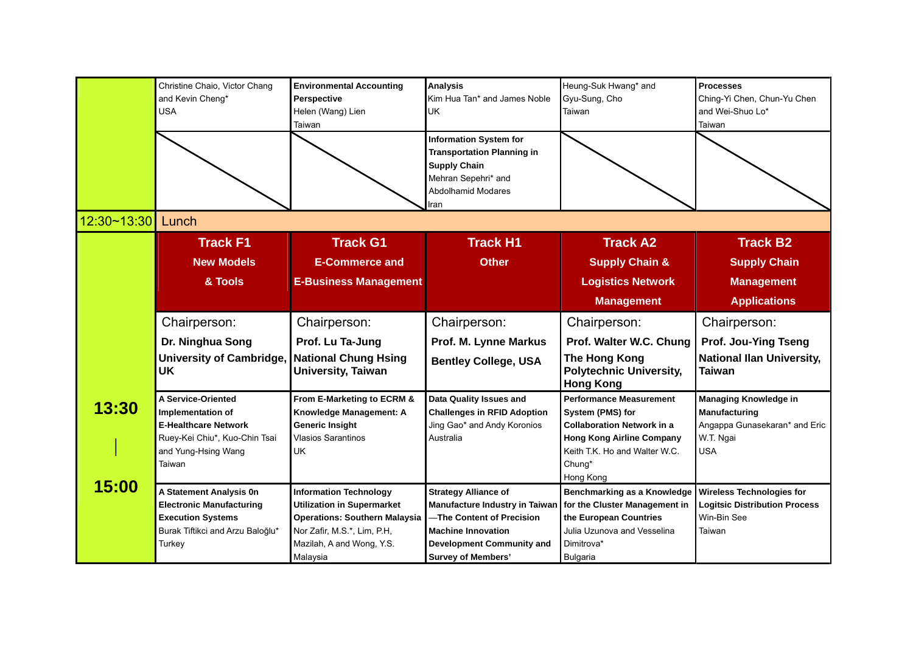|             | Christine Chaio, Victor Chang<br><b>Environmental Accounting</b><br>and Kevin Cheng*<br>Perspective<br><b>USA</b><br>Helen (Wang) Lien<br>Taiwan |                                                   | <b>Analysis</b><br>Kim Hua Tan* and James Noble<br>UK                                                                                          | Heung-Suk Hwang* and<br>Gyu-Sung, Cho<br>Taiwan                     | <b>Processes</b><br>Ching-Yi Chen, Chun-Yu Chen<br>and Wei-Shuo Lo*<br>Taiwan |  |
|-------------|--------------------------------------------------------------------------------------------------------------------------------------------------|---------------------------------------------------|------------------------------------------------------------------------------------------------------------------------------------------------|---------------------------------------------------------------------|-------------------------------------------------------------------------------|--|
|             |                                                                                                                                                  |                                                   | <b>Information System for</b><br><b>Transportation Planning in</b><br><b>Supply Chain</b><br>Mehran Sepehri* and<br>Abdolhamid Modares<br>Iran |                                                                     |                                                                               |  |
| 12:30~13:30 | Lunch                                                                                                                                            |                                                   |                                                                                                                                                |                                                                     |                                                                               |  |
|             | <b>Track F1</b>                                                                                                                                  | <b>Track G1</b>                                   | <b>Track H1</b>                                                                                                                                | <b>Track A2</b>                                                     | <b>Track B2</b>                                                               |  |
|             | <b>New Models</b>                                                                                                                                | <b>E-Commerce and</b>                             | <b>Other</b>                                                                                                                                   | <b>Supply Chain &amp;</b>                                           | <b>Supply Chain</b>                                                           |  |
|             | & Tools                                                                                                                                          | <b>E-Business Management</b>                      |                                                                                                                                                | <b>Logistics Network</b>                                            | <b>Management</b>                                                             |  |
|             |                                                                                                                                                  |                                                   |                                                                                                                                                | <b>Management</b>                                                   | <b>Applications</b>                                                           |  |
|             | Chairperson:                                                                                                                                     | Chairperson:                                      | Chairperson:                                                                                                                                   | Chairperson:                                                        | Chairperson:                                                                  |  |
|             | Dr. Ninghua Song                                                                                                                                 | Prof. Lu Ta-Jung                                  | Prof. M. Lynne Markus                                                                                                                          | Prof. Walter W.C. Chung                                             | Prof. Jou-Ying Tseng                                                          |  |
|             | <b>University of Cambridge,</b><br>UK                                                                                                            | <b>National Chung Hsing</b><br>University, Taiwan | <b>Bentley College, USA</b>                                                                                                                    | The Hong Kong<br><b>Polytechnic University,</b><br><b>Hong Kong</b> | <b>National Ilan University,</b><br><b>Taiwan</b>                             |  |
| 13:30       | A Service-Oriented                                                                                                                               | From E-Marketing to ECRM &                        | Data Quality Issues and                                                                                                                        | <b>Performance Measurement</b>                                      | <b>Managing Knowledge in</b>                                                  |  |
|             | Implementation of<br><b>E-Healthcare Network</b>                                                                                                 | Knowledge Management: A<br><b>Generic Insight</b> | <b>Challenges in RFID Adoption</b>                                                                                                             | System (PMS) for<br><b>Collaboration Network in a</b>               | <b>Manufacturing</b>                                                          |  |
|             | Ruey-Kei Chiu*, Kuo-Chin Tsai                                                                                                                    | <b>Vlasios Sarantinos</b>                         | Jing Gao* and Andy Koronios<br>Australia                                                                                                       | <b>Hong Kong Airline Company</b>                                    | Angappa Gunasekaran* and Eric<br>W.T. Ngai                                    |  |
|             | and Yung-Hsing Wang                                                                                                                              | UK                                                |                                                                                                                                                | Keith T.K. Ho and Walter W.C.                                       | <b>USA</b>                                                                    |  |
|             | Taiwan                                                                                                                                           |                                                   |                                                                                                                                                | Chung*                                                              |                                                                               |  |
| 15:00       | A Statement Analysis 0n                                                                                                                          | <b>Information Technology</b>                     | <b>Strategy Alliance of</b>                                                                                                                    | Hong Kong<br>Benchmarking as a Knowledge                            | <b>Wireless Technologies for</b>                                              |  |
|             | <b>Electronic Manufacturing</b>                                                                                                                  | <b>Utilization in Supermarket</b>                 | Manufacture Industry in Taiwan                                                                                                                 | for the Cluster Management in                                       | <b>Logitsic Distribution Process</b>                                          |  |
|             | <b>Execution Systems</b>                                                                                                                         | <b>Operations: Southern Malaysia</b>              | -The Content of Precision                                                                                                                      | the European Countries                                              | Win-Bin See                                                                   |  |
|             | Burak Tiftikci and Arzu Baloğlu*                                                                                                                 | Nor Zafir, M.S.*, Lim, P.H,                       | <b>Machine Innovation</b>                                                                                                                      | Julia Uzunova and Vesselina                                         | Taiwan                                                                        |  |
|             | Turkey                                                                                                                                           | Mazilah, A and Wong, Y.S.                         | Development Community and                                                                                                                      | Dimitrova*                                                          |                                                                               |  |
|             |                                                                                                                                                  | Malaysia                                          | <b>Survey of Members'</b>                                                                                                                      | Bulgaria                                                            |                                                                               |  |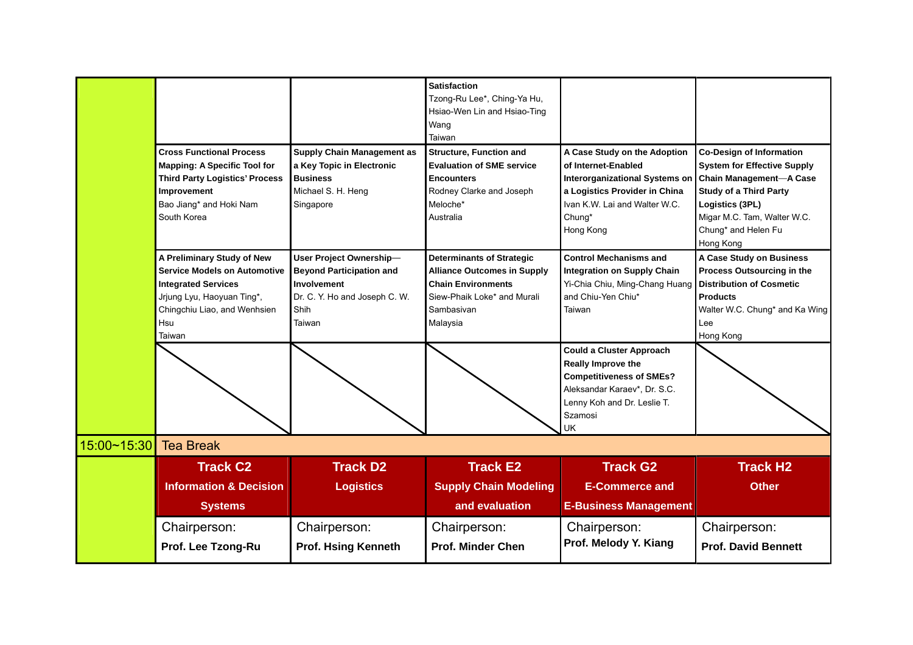|             | <b>Cross Functional Process</b><br><b>Mapping: A Specific Tool for</b><br><b>Third Party Logistics' Process</b>                                                                | <b>Supply Chain Management as</b><br>a Key Topic in Electronic<br><b>Business</b>                                            | <b>Satisfaction</b><br>Tzong-Ru Lee*, Ching-Ya Hu,<br>Hsiao-Wen Lin and Hsiao-Ting<br>Wang<br>Taiwan<br><b>Structure, Function and</b><br><b>Evaluation of SME service</b><br><b>Encounters</b> | A Case Study on the Adoption<br>of Internet-Enabled<br><b>Interorganizational Systems on</b>                                                                             | <b>Co-Design of Information</b><br><b>System for Effective Supply</b><br><b>Chain Management-A Case</b>                                                            |
|-------------|--------------------------------------------------------------------------------------------------------------------------------------------------------------------------------|------------------------------------------------------------------------------------------------------------------------------|-------------------------------------------------------------------------------------------------------------------------------------------------------------------------------------------------|--------------------------------------------------------------------------------------------------------------------------------------------------------------------------|--------------------------------------------------------------------------------------------------------------------------------------------------------------------|
|             | Improvement<br>Bao Jiang* and Hoki Nam<br>South Korea                                                                                                                          | Michael S. H. Heng<br>Singapore                                                                                              | Rodney Clarke and Joseph<br>Meloche*<br>Australia                                                                                                                                               | a Logistics Provider in China<br>Ivan K.W. Lai and Walter W.C.<br>Chung*<br>Hong Kong                                                                                    | <b>Study of a Third Party</b><br>Logistics (3PL)<br>Migar M.C. Tam, Walter W.C.<br>Chung* and Helen Fu<br>Hong Kong                                                |
|             | A Preliminary Study of New<br><b>Service Models on Automotive</b><br><b>Integrated Services</b><br>Jrjung Lyu, Haoyuan Ting*,<br>Chingchiu Liao, and Wenhsien<br>Hsu<br>Taiwan | User Project Ownership-<br><b>Beyond Participation and</b><br>Involvement<br>Dr. C. Y. Ho and Joseph C. W.<br>Shih<br>Taiwan | <b>Determinants of Strategic</b><br><b>Alliance Outcomes in Supply</b><br><b>Chain Environments</b><br>Siew-Phaik Loke* and Murali<br>Sambasivan<br>Malaysia                                    | <b>Control Mechanisms and</b><br><b>Integration on Supply Chain</b><br>Yi-Chia Chiu, Ming-Chang Huang<br>and Chiu-Yen Chiu*<br>Taiwan                                    | A Case Study on Business<br>Process Outsourcing in the<br><b>Distribution of Cosmetic</b><br><b>Products</b><br>Walter W.C. Chung* and Ka Wing<br>Lee<br>Hong Kong |
|             |                                                                                                                                                                                |                                                                                                                              |                                                                                                                                                                                                 | <b>Could a Cluster Approach</b><br>Really Improve the<br><b>Competitiveness of SMEs?</b><br>Aleksandar Karaev*, Dr. S.C.<br>Lenny Koh and Dr. Leslie T.<br>Szamosi<br>UK |                                                                                                                                                                    |
| 15:00~15:30 | <b>Tea Break</b>                                                                                                                                                               |                                                                                                                              |                                                                                                                                                                                                 |                                                                                                                                                                          |                                                                                                                                                                    |
|             | <b>Track C2</b><br><b>Information &amp; Decision</b><br><b>Systems</b>                                                                                                         | <b>Track D2</b><br><b>Logistics</b>                                                                                          | <b>Track E2</b><br><b>Supply Chain Modeling</b><br>and evaluation                                                                                                                               | <b>Track G2</b><br><b>E-Commerce and</b><br><b>E-Business Management</b>                                                                                                 | <b>Track H2</b><br><b>Other</b>                                                                                                                                    |
|             | Chairperson:<br>Prof. Lee Tzong-Ru                                                                                                                                             | Chairperson:<br><b>Prof. Hsing Kenneth</b>                                                                                   | Chairperson:<br><b>Prof. Minder Chen</b>                                                                                                                                                        | Chairperson:<br>Prof. Melody Y. Kiang                                                                                                                                    | Chairperson:<br><b>Prof. David Bennett</b>                                                                                                                         |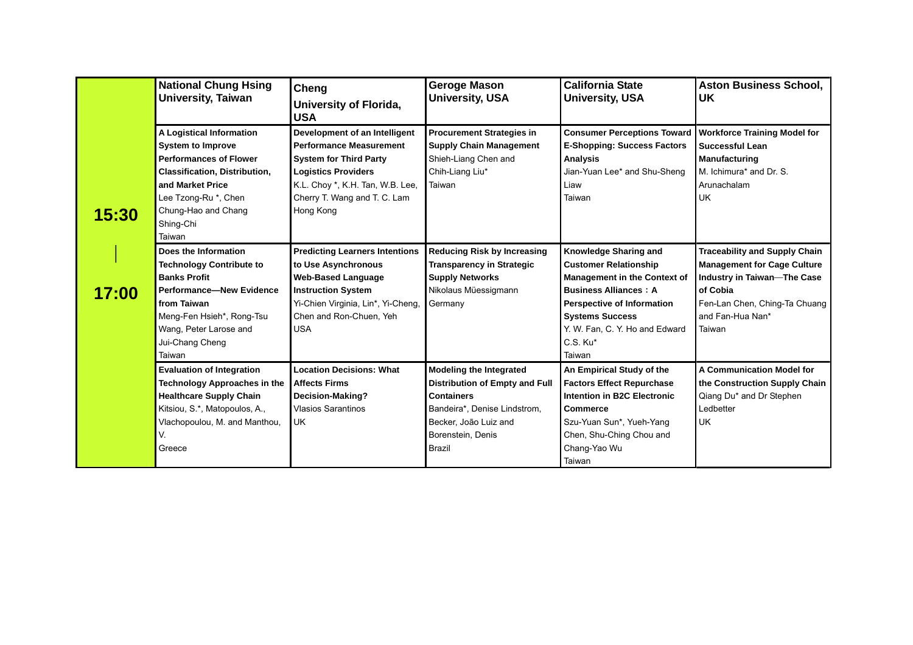|       | <b>National Chung Hsing</b><br>Cheng<br><b>University, Taiwan</b><br>University of Florida,<br><b>USA</b>                                                                                                               |                                                                                                                                                                                                                 | <b>Geroge Mason</b><br><b>University, USA</b>                                                                                                                                               | <b>California State</b><br><b>University, USA</b>                                                                                                                                                                                                   | <b>Aston Business School,</b><br>UK                                                                                                                                                  |
|-------|-------------------------------------------------------------------------------------------------------------------------------------------------------------------------------------------------------------------------|-----------------------------------------------------------------------------------------------------------------------------------------------------------------------------------------------------------------|---------------------------------------------------------------------------------------------------------------------------------------------------------------------------------------------|-----------------------------------------------------------------------------------------------------------------------------------------------------------------------------------------------------------------------------------------------------|--------------------------------------------------------------------------------------------------------------------------------------------------------------------------------------|
| 15:30 | A Logistical Information<br><b>System to Improve</b><br><b>Performances of Flower</b><br><b>Classification, Distribution,</b><br>and Market Price<br>Lee Tzong-Ru *, Chen<br>Chung-Hao and Chang<br>Shing-Chi<br>Taiwan | Development of an Intelligent<br><b>Performance Measurement</b><br><b>System for Third Party</b><br><b>Logistics Providers</b><br>K.L. Choy *, K.H. Tan, W.B. Lee,<br>Cherry T. Wang and T. C. Lam<br>Hong Kong | <b>Procurement Strategies in</b><br><b>Supply Chain Management</b><br>Shieh-Liang Chen and<br>Chih-Liang Liu*<br>Taiwan                                                                     | <b>Consumer Perceptions Toward</b><br><b>E-Shopping: Success Factors</b><br><b>Analysis</b><br>Jian-Yuan Lee* and Shu-Sheng<br>Liaw<br>Taiwan                                                                                                       | <b>Workforce Training Model for</b><br><b>Successful Lean</b><br>Manufacturing<br>M. Ichimura* and Dr. S.<br>Arunachalam<br><b>UK</b>                                                |
| 17:00 | Does the Information<br><b>Technology Contribute to</b><br><b>Banks Profit</b><br><b>Performance-New Evidence</b><br>from Taiwan<br>Meng-Fen Hsieh*, Rong-Tsu<br>Wang, Peter Larose and<br>Jui-Chang Cheng<br>Taiwan    | <b>Predicting Learners Intentions</b><br>to Use Asynchronous<br><b>Web-Based Language</b><br><b>Instruction System</b><br>Yi-Chien Virginia, Lin*, Yi-Cheng,<br>Chen and Ron-Chuen, Yeh<br><b>USA</b>           | <b>Reducing Risk by Increasing</b><br><b>Transparency in Strategic</b><br><b>Supply Networks</b><br>Nikolaus Müessigmann<br>Germany                                                         | Knowledge Sharing and<br><b>Customer Relationship</b><br><b>Management in the Context of</b><br><b>Business Alliances: A</b><br><b>Perspective of Information</b><br><b>Systems Success</b><br>Y. W. Fan, C. Y. Ho and Edward<br>C.S. Ku*<br>Taiwan | <b>Traceability and Supply Chain</b><br><b>Management for Cage Culture</b><br>Industry in Taiwan-The Case<br>of Cobia<br>Fen-Lan Chen, Ching-Ta Chuang<br>and Fan-Hua Nan*<br>Taiwan |
|       | <b>Evaluation of Integration</b><br>Technology Approaches in the<br><b>Healthcare Supply Chain</b><br>Kitsiou, S.*, Matopoulos, A.,<br>Vlachopoulou, M. and Manthou,<br>V.<br>Greece                                    | <b>Location Decisions: What</b><br><b>Affects Firms</b><br>Decision-Making?<br><b>Vlasios Sarantinos</b><br>UK.                                                                                                 | <b>Modeling the Integrated</b><br><b>Distribution of Empty and Full</b><br><b>Containers</b><br>Bandeira*, Denise Lindstrom,<br>Becker, João Luiz and<br>Borenstein, Denis<br><b>Brazil</b> | An Empirical Study of the<br><b>Factors Effect Repurchase</b><br>Intention in B2C Electronic<br><b>Commerce</b><br>Szu-Yuan Sun*, Yueh-Yang<br>Chen, Shu-Ching Chou and<br>Chang-Yao Wu<br>Taiwan                                                   | A Communication Model for<br>the Construction Supply Chain<br>Qiang Du* and Dr Stephen<br>Ledbetter<br><b>UK</b>                                                                     |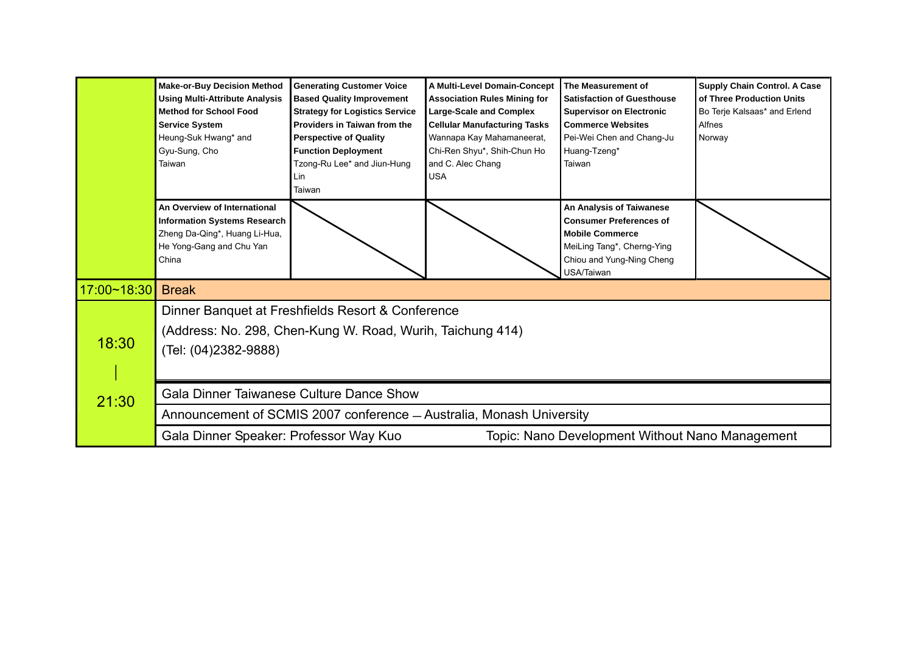|             | <b>Make-or-Buy Decision Method</b><br><b>Using Multi-Attribute Analysis</b><br><b>Method for School Food</b><br><b>Service System</b><br>Heung-Suk Hwang* and<br>Gyu-Sung, Cho<br>Taiwan | <b>Generating Customer Voice</b><br><b>Based Quality Improvement</b><br><b>Strategy for Logistics Service</b><br>Providers in Taiwan from the<br><b>Perspective of Quality</b><br><b>Function Deployment</b><br>Tzong-Ru Lee* and Jiun-Hung<br>Lin<br>Taiwan | A Multi-Level Domain-Concept<br><b>Association Rules Mining for</b><br><b>Large-Scale and Complex</b><br><b>Cellular Manufacturing Tasks</b><br>Wannapa Kay Mahamaneerat,<br>Chi-Ren Shyu*, Shih-Chun Ho<br>and C. Alec Chang<br><b>USA</b> | The Measurement of<br><b>Satisfaction of Guesthouse</b><br><b>Supervisor on Electronic</b><br><b>Commerce Websites</b><br>Pei-Wei Chen and Chang-Ju<br>Huang-Tzeng*<br>Taiwan | <b>Supply Chain Control. A Case</b><br>of Three Production Units<br>Bo Terje Kalsaas* and Erlend<br>Alfnes<br>Norway |  |  |
|-------------|------------------------------------------------------------------------------------------------------------------------------------------------------------------------------------------|--------------------------------------------------------------------------------------------------------------------------------------------------------------------------------------------------------------------------------------------------------------|---------------------------------------------------------------------------------------------------------------------------------------------------------------------------------------------------------------------------------------------|-------------------------------------------------------------------------------------------------------------------------------------------------------------------------------|----------------------------------------------------------------------------------------------------------------------|--|--|
|             | An Overview of International<br><b>Information Systems Research</b><br>Zheng Da-Qing*, Huang Li-Hua,<br>He Yong-Gang and Chu Yan<br>China                                                |                                                                                                                                                                                                                                                              |                                                                                                                                                                                                                                             | An Analysis of Taiwanese<br><b>Consumer Preferences of</b><br><b>Mobile Commerce</b><br>MeiLing Tang*, Cherng-Ying<br>Chiou and Yung-Ning Cheng<br>JSA/Taiwan                 |                                                                                                                      |  |  |
| 17:00~18:30 | <b>Break</b>                                                                                                                                                                             |                                                                                                                                                                                                                                                              |                                                                                                                                                                                                                                             |                                                                                                                                                                               |                                                                                                                      |  |  |
|             |                                                                                                                                                                                          | Dinner Banquet at Freshfields Resort & Conference                                                                                                                                                                                                            |                                                                                                                                                                                                                                             |                                                                                                                                                                               |                                                                                                                      |  |  |
| 18:30       | (Address: No. 298, Chen-Kung W. Road, Wurih, Taichung 414)<br>(Tel: (04)2382-9888)                                                                                                       |                                                                                                                                                                                                                                                              |                                                                                                                                                                                                                                             |                                                                                                                                                                               |                                                                                                                      |  |  |
| 21:30       |                                                                                                                                                                                          | <b>Gala Dinner Taiwanese Culture Dance Show</b>                                                                                                                                                                                                              |                                                                                                                                                                                                                                             |                                                                                                                                                                               |                                                                                                                      |  |  |
|             |                                                                                                                                                                                          |                                                                                                                                                                                                                                                              | Announcement of SCMIS 2007 conference - Australia, Monash University                                                                                                                                                                        |                                                                                                                                                                               |                                                                                                                      |  |  |
|             | Gala Dinner Speaker: Professor Way Kuo                                                                                                                                                   |                                                                                                                                                                                                                                                              |                                                                                                                                                                                                                                             | Topic: Nano Development Without Nano Management                                                                                                                               |                                                                                                                      |  |  |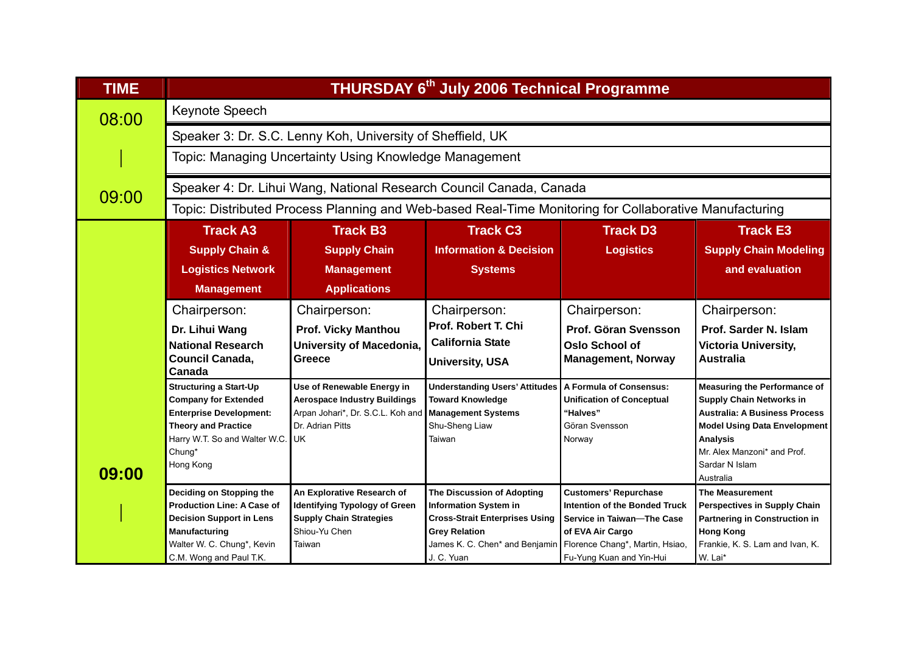| <b>TIME</b> | THURSDAY 6th July 2006 Technical Programme                    |                                                                          |                                                                                                        |                                                               |                                                                             |  |  |  |  |  |
|-------------|---------------------------------------------------------------|--------------------------------------------------------------------------|--------------------------------------------------------------------------------------------------------|---------------------------------------------------------------|-----------------------------------------------------------------------------|--|--|--|--|--|
| 08:00       | Keynote Speech                                                |                                                                          |                                                                                                        |                                                               |                                                                             |  |  |  |  |  |
|             |                                                               | Speaker 3: Dr. S.C. Lenny Koh, University of Sheffield, UK               |                                                                                                        |                                                               |                                                                             |  |  |  |  |  |
|             |                                                               | Topic: Managing Uncertainty Using Knowledge Management                   |                                                                                                        |                                                               |                                                                             |  |  |  |  |  |
| 09:00       |                                                               |                                                                          | Speaker 4: Dr. Lihui Wang, National Research Council Canada, Canada                                    |                                                               |                                                                             |  |  |  |  |  |
|             |                                                               |                                                                          | Topic: Distributed Process Planning and Web-based Real-Time Monitoring for Collaborative Manufacturing |                                                               |                                                                             |  |  |  |  |  |
|             | <b>Track A3</b>                                               | <b>Track B3</b>                                                          | <b>Track C3</b>                                                                                        | <b>Track D3</b>                                               | <b>Track E3</b>                                                             |  |  |  |  |  |
|             | <b>Supply Chain &amp;</b>                                     | <b>Supply Chain</b>                                                      | <b>Information &amp; Decision</b>                                                                      | <b>Logistics</b>                                              | <b>Supply Chain Modeling</b>                                                |  |  |  |  |  |
|             | <b>Logistics Network</b>                                      | <b>Management</b>                                                        | <b>Systems</b>                                                                                         |                                                               | and evaluation                                                              |  |  |  |  |  |
|             | <b>Management</b>                                             | <b>Applications</b>                                                      |                                                                                                        |                                                               |                                                                             |  |  |  |  |  |
|             | Chairperson:                                                  | Chairperson:                                                             | Chairperson:                                                                                           | Chairperson:                                                  | Chairperson:                                                                |  |  |  |  |  |
|             | Dr. Lihui Wang                                                | <b>Prof. Vicky Manthou</b>                                               | Prof. Robert T. Chi                                                                                    | Prof. Göran Svensson                                          | Prof. Sarder N. Islam                                                       |  |  |  |  |  |
|             | <b>National Research</b>                                      | <b>University of Macedonia,</b>                                          | <b>California State</b>                                                                                | <b>Oslo School of</b>                                         | <b>Victoria University,</b>                                                 |  |  |  |  |  |
|             | Council Canada,<br>Canada                                     | Greece                                                                   | <b>University, USA</b>                                                                                 | <b>Management, Norway</b>                                     | <b>Australia</b>                                                            |  |  |  |  |  |
|             | <b>Structuring a Start-Up</b>                                 | Use of Renewable Energy in                                               | <b>Understanding Users' Attitudes</b>                                                                  | A Formula of Consensus:                                       | <b>Measuring the Performance of</b>                                         |  |  |  |  |  |
|             | <b>Company for Extended</b><br><b>Enterprise Development:</b> | <b>Aerospace Industry Buildings</b><br>Arpan Johari*, Dr. S.C.L. Koh and | <b>Toward Knowledge</b><br><b>Management Systems</b>                                                   | <b>Unification of Conceptual</b><br>"Halves"                  | <b>Supply Chain Networks in</b><br><b>Australia: A Business Process</b>     |  |  |  |  |  |
|             | <b>Theory and Practice</b>                                    | Dr. Adrian Pitts                                                         | Shu-Sheng Liaw                                                                                         | Göran Svensson                                                | <b>Model Using Data Envelopment</b>                                         |  |  |  |  |  |
|             | Harry W.T. So and Walter W.C.                                 | UK                                                                       | Taiwan                                                                                                 | Norway                                                        | <b>Analysis</b>                                                             |  |  |  |  |  |
|             | Chung*                                                        |                                                                          |                                                                                                        |                                                               | Mr. Alex Manzoni* and Prof.                                                 |  |  |  |  |  |
| 09:00       | Hong Kong                                                     |                                                                          |                                                                                                        |                                                               | Sardar N Islam                                                              |  |  |  |  |  |
|             |                                                               |                                                                          |                                                                                                        |                                                               | Australia                                                                   |  |  |  |  |  |
|             | Deciding on Stopping the<br><b>Production Line: A Case of</b> | An Explorative Research of                                               | The Discussion of Adopting                                                                             | <b>Customers' Repurchase</b><br>Intention of the Bonded Truck | <b>The Measurement</b>                                                      |  |  |  |  |  |
|             | <b>Decision Support in Lens</b>                               | <b>Identifying Typology of Green</b><br><b>Supply Chain Strategies</b>   | <b>Information System in</b><br><b>Cross-Strait Enterprises Using</b>                                  | Service in Taiwan-The Case                                    | <b>Perspectives in Supply Chain</b><br><b>Partnering in Construction in</b> |  |  |  |  |  |
|             | Manufacturing                                                 | Shiou-Yu Chen                                                            | <b>Grey Relation</b>                                                                                   | of EVA Air Cargo                                              | <b>Hong Kong</b>                                                            |  |  |  |  |  |
|             | Walter W. C. Chung*, Kevin                                    | Taiwan                                                                   | James K. C. Chen* and Benjamin Florence Chang*, Martin, Hsiao,                                         |                                                               | Frankie, K. S. Lam and Ivan, K.                                             |  |  |  |  |  |
|             | C.M. Wong and Paul T.K.                                       |                                                                          | J. C. Yuan                                                                                             | Fu-Yung Kuan and Yin-Hui                                      | W. Lai*                                                                     |  |  |  |  |  |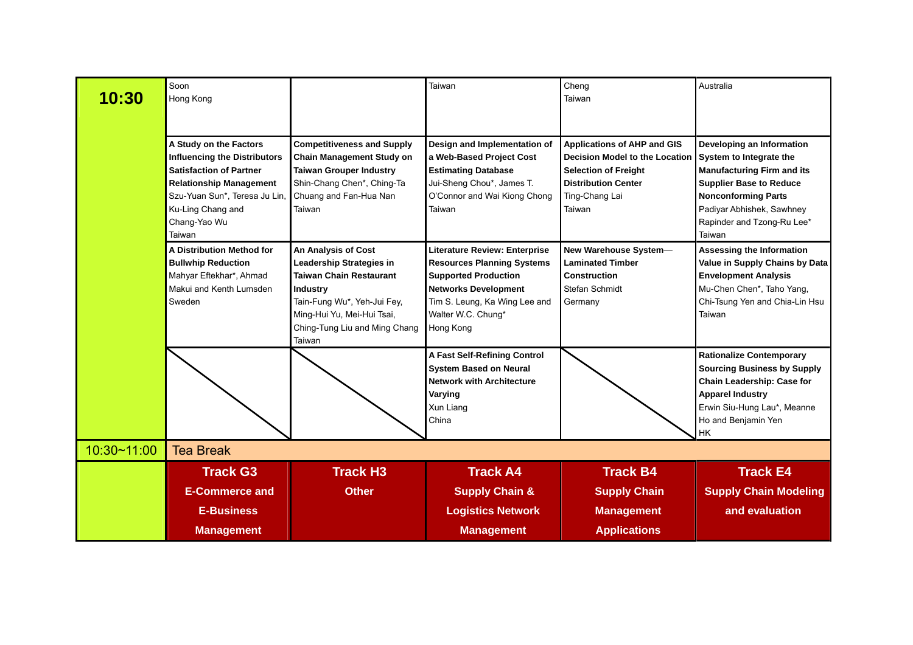| 10:30       | Soon<br>Hong Kong                                                                                                                                                                                                 |                                                                                                                                                                                                                     | Taiwan                                                                                                                                                                                               | Cheng<br>Taiwan                                                                                                                                                      | Australia                                                                                                                                                                                                                      |
|-------------|-------------------------------------------------------------------------------------------------------------------------------------------------------------------------------------------------------------------|---------------------------------------------------------------------------------------------------------------------------------------------------------------------------------------------------------------------|------------------------------------------------------------------------------------------------------------------------------------------------------------------------------------------------------|----------------------------------------------------------------------------------------------------------------------------------------------------------------------|--------------------------------------------------------------------------------------------------------------------------------------------------------------------------------------------------------------------------------|
|             | A Study on the Factors<br><b>Influencing the Distributors</b><br><b>Satisfaction of Partner</b><br><b>Relationship Management</b><br>Szu-Yuan Sun*, Teresa Ju Lin,<br>Ku-Ling Chang and<br>Chang-Yao Wu<br>Taiwan | <b>Competitiveness and Supply</b><br><b>Chain Management Study on</b><br><b>Taiwan Grouper Industry</b><br>Shin-Chang Chen*, Ching-Ta<br>Chuang and Fan-Hua Nan<br>Taiwan                                           | Design and Implementation of<br>a Web-Based Project Cost<br><b>Estimating Database</b><br>Jui-Sheng Chou*, James T.<br>O'Connor and Wai Kiong Chong<br>Taiwan                                        | <b>Applications of AHP and GIS</b><br><b>Decision Model to the Location</b><br><b>Selection of Freight</b><br><b>Distribution Center</b><br>Ting-Chang Lai<br>Taiwan | Developing an Information<br>System to Integrate the<br><b>Manufacturing Firm and its</b><br><b>Supplier Base to Reduce</b><br><b>Nonconforming Parts</b><br>Padiyar Abhishek, Sawhney<br>Rapinder and Tzong-Ru Lee*<br>Taiwan |
|             | A Distribution Method for<br><b>Bullwhip Reduction</b><br>Mahyar Eftekhar*, Ahmad<br>Makui and Kenth Lumsden<br>Sweden                                                                                            | An Analysis of Cost<br><b>Leadership Strategies in</b><br><b>Taiwan Chain Restaurant</b><br><b>Industry</b><br>Tain-Fung Wu*, Yeh-Jui Fey,<br>Ming-Hui Yu, Mei-Hui Tsai,<br>Ching-Tung Liu and Ming Chang<br>Taiwan | Literature Review: Enterprise<br><b>Resources Planning Systems</b><br><b>Supported Production</b><br><b>Networks Development</b><br>Tim S. Leung, Ka Wing Lee and<br>Walter W.C. Chung*<br>Hong Kong | New Warehouse System-<br><b>Laminated Timber</b><br>Construction<br>Stefan Schmidt<br>Germany                                                                        | <b>Assessing the Information</b><br>Value in Supply Chains by Data<br><b>Envelopment Analysis</b><br>Mu-Chen Chen*, Taho Yang,<br>Chi-Tsung Yen and Chia-Lin Hsu<br>Taiwan                                                     |
|             |                                                                                                                                                                                                                   |                                                                                                                                                                                                                     | <b>A Fast Self-Refining Control</b><br><b>System Based on Neural</b><br><b>Network with Architecture</b><br>Varying<br>Xun Liang<br>China                                                            |                                                                                                                                                                      | <b>Rationalize Contemporary</b><br><b>Sourcing Business by Supply</b><br>Chain Leadership: Case for<br><b>Apparel Industry</b><br>Erwin Siu-Hung Lau*, Meanne<br>Ho and Benjamin Yen<br>НK                                     |
| 10:30~11:00 | <b>Tea Break</b>                                                                                                                                                                                                  |                                                                                                                                                                                                                     |                                                                                                                                                                                                      |                                                                                                                                                                      |                                                                                                                                                                                                                                |
|             | <b>Track G3</b><br><b>E-Commerce and</b>                                                                                                                                                                          | <b>Track H3</b><br><b>Other</b>                                                                                                                                                                                     | <b>Track A4</b><br><b>Supply Chain &amp;</b>                                                                                                                                                         | <b>Track B4</b><br><b>Supply Chain</b>                                                                                                                               | <b>Track E4</b><br><b>Supply Chain Modeling</b>                                                                                                                                                                                |
|             | <b>E-Business</b><br><b>Management</b>                                                                                                                                                                            |                                                                                                                                                                                                                     | <b>Logistics Network</b><br><b>Management</b>                                                                                                                                                        | <b>Management</b><br><b>Applications</b>                                                                                                                             | and evaluation                                                                                                                                                                                                                 |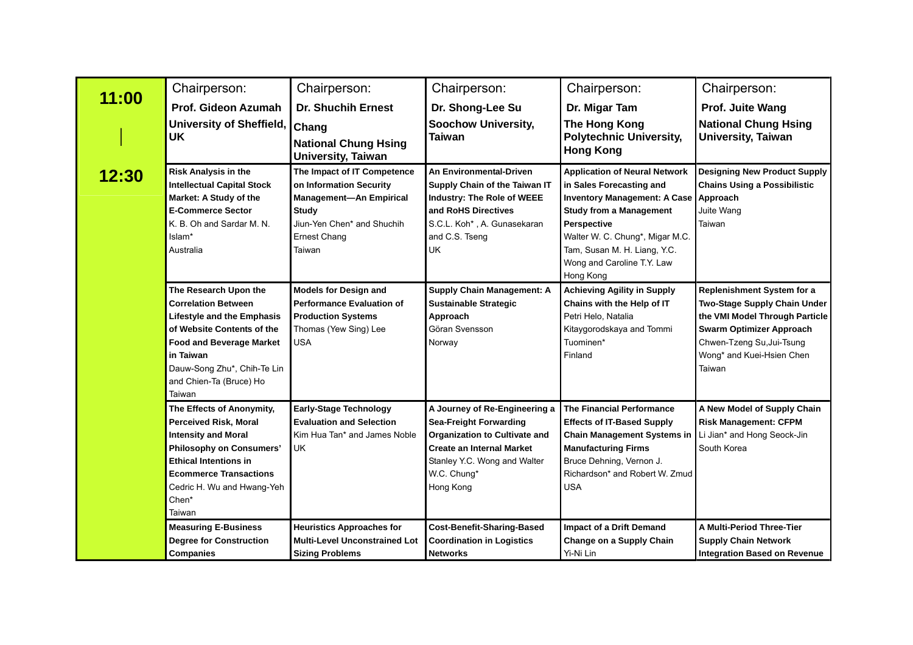|       | Chairperson:                                                                                                                                                                                                                                                                                                                                                                       | Chairperson:                                                                                                                                                                                                                                                                                 | Chairperson:                                                                                                                                                                                           | Chairperson:                                                                                                                                                                                                                                                             | Chairperson:                                                                                                                                                                                        |
|-------|------------------------------------------------------------------------------------------------------------------------------------------------------------------------------------------------------------------------------------------------------------------------------------------------------------------------------------------------------------------------------------|----------------------------------------------------------------------------------------------------------------------------------------------------------------------------------------------------------------------------------------------------------------------------------------------|--------------------------------------------------------------------------------------------------------------------------------------------------------------------------------------------------------|--------------------------------------------------------------------------------------------------------------------------------------------------------------------------------------------------------------------------------------------------------------------------|-----------------------------------------------------------------------------------------------------------------------------------------------------------------------------------------------------|
| 11:00 | Prof. Gideon Azumah                                                                                                                                                                                                                                                                                                                                                                | <b>Dr. Shuchih Ernest</b>                                                                                                                                                                                                                                                                    | Dr. Shong-Lee Su                                                                                                                                                                                       | Dr. Migar Tam                                                                                                                                                                                                                                                            | Prof. Juite Wang                                                                                                                                                                                    |
|       | <b>University of Sheffield,</b><br><b>UK</b>                                                                                                                                                                                                                                                                                                                                       | Chang<br><b>National Chung Hsing</b><br><b>University, Taiwan</b>                                                                                                                                                                                                                            | <b>Soochow University,</b><br><b>Taiwan</b>                                                                                                                                                            | The Hong Kong<br><b>Polytechnic University,</b><br><b>Hong Kong</b>                                                                                                                                                                                                      | <b>National Chung Hsing</b><br><b>University, Taiwan</b>                                                                                                                                            |
| 12:30 | <b>Risk Analysis in the</b><br><b>Intellectual Capital Stock</b><br>Market: A Study of the<br><b>E-Commerce Sector</b><br>K. B. Oh and Sardar M. N.<br>Islam*<br>Australia                                                                                                                                                                                                         | The Impact of IT Competence<br>on Information Security<br>Supply Chain of the Taiwan IT<br><b>Management-An Empirical</b><br>Industry: The Role of WEEE<br>and RoHS Directives<br><b>Study</b><br>Jiun-Yen Chen* and Shuchih<br>S.C.L. Koh*, A. Gunasekaran<br><b>Ernest Chang</b><br>Taiwan |                                                                                                                                                                                                        | <b>Application of Neural Network</b><br>in Sales Forecasting and<br>Inventory Management: A Case Approach<br><b>Study from a Management</b><br>Perspective<br>Walter W. C. Chung*, Migar M.C.<br>Tam, Susan M. H. Liang, Y.C.<br>Wong and Caroline T.Y. Law<br>Hong Kong | <b>Designing New Product Supply</b><br><b>Chains Using a Possibilistic</b><br>Juite Wang<br>Taiwan                                                                                                  |
|       | The Research Upon the<br><b>Models for Design and</b><br><b>Performance Evaluation of</b><br><b>Correlation Between</b><br><b>Lifestyle and the Emphasis</b><br><b>Production Systems</b><br>of Website Contents of the<br>Thomas (Yew Sing) Lee<br><b>USA</b><br><b>Food and Beverage Market</b><br>in Taiwan<br>Dauw-Song Zhu*, Chih-Te Lin<br>and Chien-Ta (Bruce) Ho<br>Taiwan |                                                                                                                                                                                                                                                                                              | <b>Supply Chain Management: A</b><br><b>Sustainable Strategic</b><br>Approach<br>Göran Svensson<br>Norway                                                                                              | <b>Achieving Agility in Supply</b><br>Chains with the Help of IT<br>Petri Helo, Natalia<br>Kitaygorodskaya and Tommi<br>Tuominen*<br>Finland                                                                                                                             | Replenishment System for a<br>Two-Stage Supply Chain Under<br>the VMI Model Through Particle<br><b>Swarm Optimizer Approach</b><br>Chwen-Tzeng Su, Jui-Tsung<br>Wong* and Kuei-Hsien Chen<br>Taiwan |
|       | The Effects of Anonymity,<br><b>Perceived Risk, Moral</b><br><b>Intensity and Moral</b><br><b>Philosophy on Consumers'</b><br><b>Ethical Intentions in</b><br><b>Ecommerce Transactions</b><br>Cedric H. Wu and Hwang-Yeh<br>Chen*<br>Taiwan                                                                                                                                       | <b>Early-Stage Technology</b><br><b>Evaluation and Selection</b><br>Kim Hua Tan* and James Noble<br>UK                                                                                                                                                                                       | A Journey of Re-Engineering a<br><b>Sea-Freight Forwarding</b><br><b>Organization to Cultivate and</b><br><b>Create an Internal Market</b><br>Stanley Y.C. Wong and Walter<br>W.C. Chung*<br>Hong Kong | The Financial Performance<br><b>Effects of IT-Based Supply</b><br><b>Chain Management Systems in</b><br><b>Manufacturing Firms</b><br>Bruce Dehning, Vernon J.<br>Richardson* and Robert W. Zmud<br><b>USA</b>                                                           | A New Model of Supply Chain<br><b>Risk Management: CFPM</b><br>Li Jian* and Hong Seock-Jin<br>South Korea                                                                                           |
|       | <b>Measuring E-Business</b><br><b>Degree for Construction</b><br><b>Companies</b>                                                                                                                                                                                                                                                                                                  | <b>Heuristics Approaches for</b><br><b>Multi-Level Unconstrained Lot</b><br><b>Sizing Problems</b>                                                                                                                                                                                           | <b>Cost-Benefit-Sharing-Based</b><br><b>Coordination in Logistics</b><br><b>Networks</b>                                                                                                               | Impact of a Drift Demand<br>Change on a Supply Chain<br>Yi-Ni Lin                                                                                                                                                                                                        | A Multi-Period Three-Tier<br><b>Supply Chain Network</b><br><b>Integration Based on Revenue</b>                                                                                                     |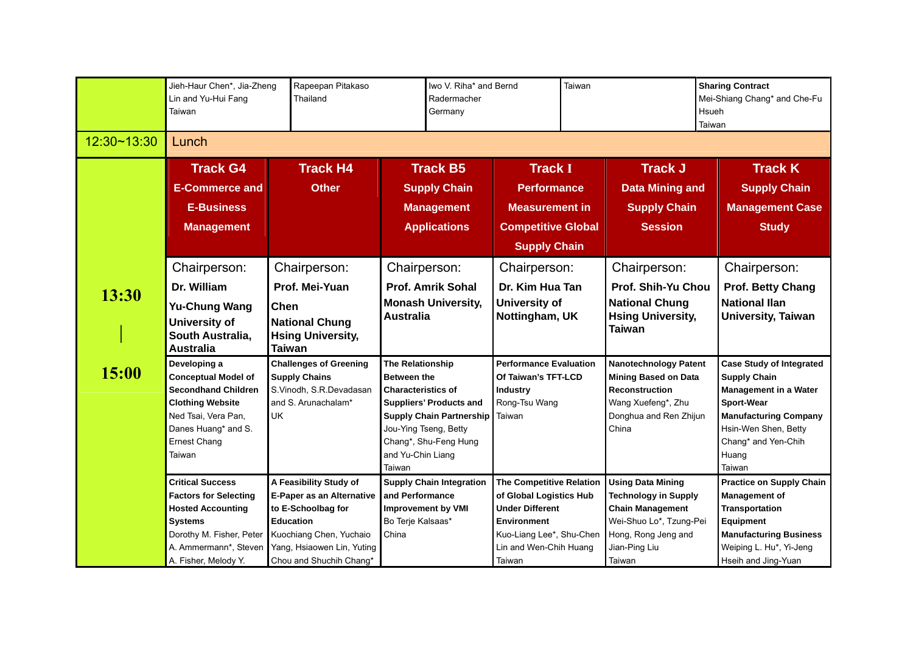|                | Jieh-Haur Chen*, Jia-Zheng<br>Lin and Yu-Hui Fang<br>Taiwan                                                                                                                        | Rapeepan Pitakaso<br>Thailand                                                                                                                                                     |                                                                                                                             | Iwo V. Riha* and Bernd<br>Radermacher<br>Germany                                           |                                                                                                                                                                     | Taiwan |                                                                                                                                                                 | <b>Sharing Contract</b><br>Mei-Shiang Chang* and Che-Fu<br>Hsueh<br>Taiwan |                                                                                                                                                                                                               |
|----------------|------------------------------------------------------------------------------------------------------------------------------------------------------------------------------------|-----------------------------------------------------------------------------------------------------------------------------------------------------------------------------------|-----------------------------------------------------------------------------------------------------------------------------|--------------------------------------------------------------------------------------------|---------------------------------------------------------------------------------------------------------------------------------------------------------------------|--------|-----------------------------------------------------------------------------------------------------------------------------------------------------------------|----------------------------------------------------------------------------|---------------------------------------------------------------------------------------------------------------------------------------------------------------------------------------------------------------|
| 12:30~13:30    | Lunch                                                                                                                                                                              |                                                                                                                                                                                   |                                                                                                                             |                                                                                            |                                                                                                                                                                     |        |                                                                                                                                                                 |                                                                            |                                                                                                                                                                                                               |
| 13:30<br>15:00 | <b>Track G4</b><br><b>E-Commerce and</b><br><b>E-Business</b><br><b>Management</b>                                                                                                 | <b>Track H4</b><br><b>Other</b>                                                                                                                                                   |                                                                                                                             | <b>Track B5</b><br><b>Supply Chain</b><br><b>Management</b><br><b>Applications</b>         | <b>Track I</b><br><b>Performance</b><br><b>Measurement in</b><br><b>Competitive Global</b><br><b>Supply Chain</b>                                                   |        | <b>Track J</b><br><b>Data Mining and</b><br><b>Supply Chain</b><br><b>Session</b>                                                                               |                                                                            | <b>Track K</b><br><b>Supply Chain</b><br><b>Management Case</b><br><b>Study</b>                                                                                                                               |
|                | Chairperson:<br>Dr. William<br><b>Yu-Chung Wang</b><br><b>University of</b><br>South Australia,<br><b>Australia</b>                                                                | Chairperson:<br>Prof. Mei-Yuan<br><b>Chen</b><br><b>National Chung</b><br><b>Hsing University,</b><br><b>Taiwan</b>                                                               | Chairperson:<br><b>Australia</b>                                                                                            | <b>Prof. Amrik Sohal</b><br><b>Monash University,</b>                                      | Chairperson:<br>Dr. Kim Hua Tan<br><b>University of</b><br>Nottingham, UK                                                                                           |        | Chairperson:<br>Prof. Shih-Yu Chou<br><b>National Chung</b><br><b>Hsing University,</b><br>Taiwan                                                               |                                                                            | Chairperson:<br><b>Prof. Betty Chang</b><br><b>National Ilan</b><br>University, Taiwan                                                                                                                        |
|                | Developing a<br><b>Conceptual Model of</b><br><b>Secondhand Children</b><br><b>Clothing Website</b><br>Ned Tsai, Vera Pan,<br>Danes Huang* and S.<br><b>Ernest Chang</b><br>Taiwan | <b>Challenges of Greening</b><br><b>Supply Chains</b><br>S.Vinodh, S.R.Devadasan<br>and S. Arunachalam*<br><b>UK</b>                                                              | The Relationship<br><b>Between the</b><br><b>Characteristics of</b><br>Jou-Ying Tseng, Betty<br>and Yu-Chin Liang<br>Taiwan | <b>Suppliers' Products and</b><br><b>Supply Chain Partnership</b><br>Chang*, Shu-Feng Hung | <b>Performance Evaluation</b><br>Of Taiwan's TFT-LCD<br><b>Industry</b><br>Rong-Tsu Wang<br>Taiwan                                                                  |        | <b>Nanotechnology Patent</b><br><b>Mining Based on Data</b><br><b>Reconstruction</b><br>Wang Xuefeng*, Zhu<br>Donghua and Ren Zhijun<br>China                   |                                                                            | <b>Case Study of Integrated</b><br><b>Supply Chain</b><br><b>Management in a Water</b><br><b>Sport-Wear</b><br><b>Manufacturing Company</b><br>Hsin-Wen Shen, Betty<br>Chang* and Yen-Chih<br>Huang<br>Taiwan |
|                | <b>Critical Success</b><br><b>Factors for Selecting</b><br><b>Hosted Accounting</b><br><b>Systems</b><br>Dorothy M. Fisher, Peter<br>A. Ammermann*, Steven<br>A. Fisher, Melody Y. | A Feasibility Study of<br>E-Paper as an Alternative<br>to E-Schoolbag for<br><b>Education</b><br>Kuochiang Chen, Yuchaio<br>Yang, Hsiaowen Lin, Yuting<br>Chou and Shuchih Chang* | and Performance<br><b>Improvement by VMI</b><br>Bo Terje Kalsaas*<br>China                                                  | <b>Supply Chain Integration</b>                                                            | The Competitive Relation<br>of Global Logistics Hub<br><b>Under Different</b><br><b>Environment</b><br>Kuo-Liang Lee*, Shu-Chen<br>Lin and Wen-Chih Huang<br>Taiwan |        | <b>Using Data Mining</b><br><b>Technology in Supply</b><br><b>Chain Management</b><br>Wei-Shuo Lo*, Tzung-Pei<br>Hong, Rong Jeng and<br>Jian-Ping Liu<br>Taiwan |                                                                            | <b>Practice on Supply Chain</b><br><b>Management of</b><br><b>Transportation</b><br><b>Equipment</b><br><b>Manufacturing Business</b><br>Weiping L. Hu*, Yi-Jeng<br>Hseih and Jing-Yuan                       |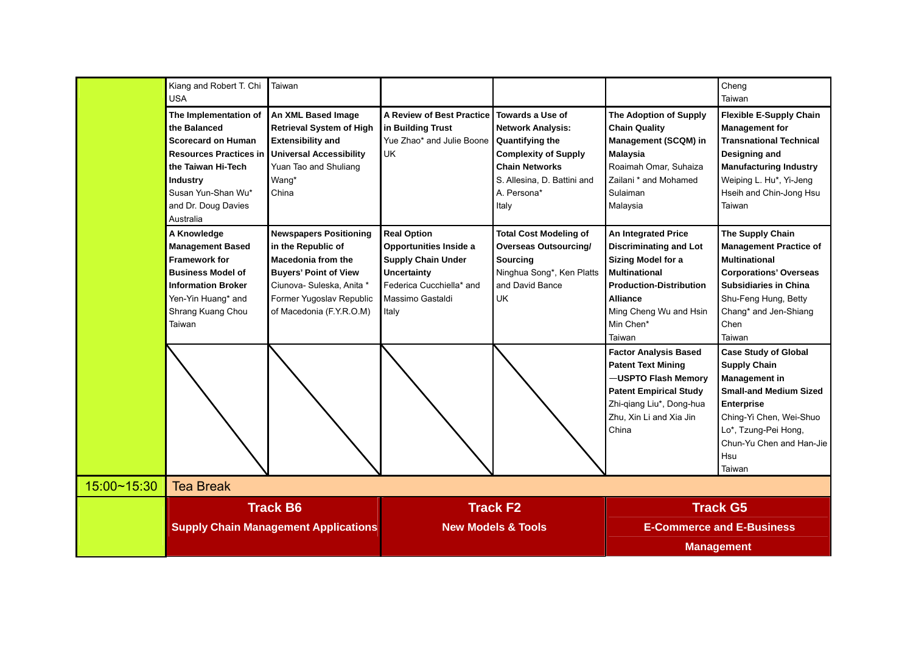|             | Kiang and Robert T. Chi<br><b>USA</b>                                                                                                                                                           | Taiwan                                                                                                                                                                                                |                                                                                                                                                   |                                                                                                                                                                                       |                                                                                                                                                                                                                 | Cheng<br>Taiwan                                                                                                                                                                                                                  |  |
|-------------|-------------------------------------------------------------------------------------------------------------------------------------------------------------------------------------------------|-------------------------------------------------------------------------------------------------------------------------------------------------------------------------------------------------------|---------------------------------------------------------------------------------------------------------------------------------------------------|---------------------------------------------------------------------------------------------------------------------------------------------------------------------------------------|-----------------------------------------------------------------------------------------------------------------------------------------------------------------------------------------------------------------|----------------------------------------------------------------------------------------------------------------------------------------------------------------------------------------------------------------------------------|--|
|             | The Implementation of<br>the Balanced<br><b>Scorecard on Human</b><br><b>Resources Practices in</b><br>the Taiwan Hi-Tech<br>Industry<br>Susan Yun-Shan Wu*<br>and Dr. Doug Davies<br>Australia | An XML Based Image<br><b>Retrieval System of High</b><br><b>Extensibility and</b><br><b>Universal Accessibility</b><br>Yuan Tao and Shuliang<br>Wang*<br>China                                        | <b>A Review of Best Practice</b><br>in Building Trust<br>Yue Zhao* and Julie Boone<br>UK.                                                         | Towards a Use of<br><b>Network Analysis:</b><br><b>Quantifying the</b><br><b>Complexity of Supply</b><br><b>Chain Networks</b><br>S. Allesina, D. Battini and<br>A. Persona*<br>Italy | The Adoption of Supply<br><b>Chain Quality</b><br>Management (SCQM) in<br><b>Malaysia</b><br>Roaimah Omar, Suhaiza<br>Zailani * and Mohamed<br>Sulaiman<br>Malaysia                                             | <b>Flexible E-Supply Chain</b><br><b>Management for</b><br><b>Transnational Technical</b><br>Designing and<br><b>Manufacturing Industry</b><br>Weiping L. Hu*, Yi-Jeng<br>Hseih and Chin-Jong Hsu<br>Taiwan                      |  |
|             | A Knowledge<br><b>Management Based</b><br><b>Framework for</b><br><b>Business Model of</b><br><b>Information Broker</b><br>Yen-Yin Huang* and<br>Shrang Kuang Chou<br>Taiwan                    | <b>Newspapers Positioning</b><br>in the Republic of<br><b>Macedonia from the</b><br><b>Buyers' Point of View</b><br>Ciunova- Suleska, Anita *<br>Former Yugoslav Republic<br>of Macedonia (F.Y.R.O.M) | <b>Real Option</b><br>Opportunities Inside a<br><b>Supply Chain Under</b><br>Uncertainty<br>Federica Cucchiella* and<br>Massimo Gastaldi<br>Italy | <b>Total Cost Modeling of</b><br><b>Overseas Outsourcing/</b><br><b>Sourcing</b><br>Ninghua Song*, Ken Platts<br>and David Bance<br>UK                                                | <b>An Integrated Price</b><br><b>Discriminating and Lot</b><br>Sizing Model for a<br><b>Multinational</b><br><b>Production-Distribution</b><br><b>Alliance</b><br>Ming Cheng Wu and Hsin<br>Min Chen*<br>Taiwan | The Supply Chain<br><b>Management Practice of</b><br><b>Multinational</b><br><b>Corporations' Overseas</b><br><b>Subsidiaries in China</b><br>Shu-Feng Hung, Betty<br>Chang* and Jen-Shiang<br>Chen<br>Taiwan                    |  |
|             |                                                                                                                                                                                                 |                                                                                                                                                                                                       |                                                                                                                                                   |                                                                                                                                                                                       | <b>Factor Analysis Based</b><br><b>Patent Text Mining</b><br>-USPTO Flash Memory<br><b>Patent Empirical Study</b><br>Zhi-qiang Liu*, Dong-hua<br>Zhu, Xin Li and Xia Jin<br>China                               | <b>Case Study of Global</b><br><b>Supply Chain</b><br><b>Management in</b><br><b>Small-and Medium Sized</b><br><b>Enterprise</b><br>Ching-Yi Chen, Wei-Shuo<br>Lo*, Tzung-Pei Hong,<br>Chun-Yu Chen and Han-Jie<br>Hsu<br>Taiwan |  |
| 15:00~15:30 | <b>Tea Break</b>                                                                                                                                                                                |                                                                                                                                                                                                       |                                                                                                                                                   |                                                                                                                                                                                       |                                                                                                                                                                                                                 |                                                                                                                                                                                                                                  |  |
|             |                                                                                                                                                                                                 | <b>Track B6</b><br><b>Supply Chain Management Applications</b>                                                                                                                                        |                                                                                                                                                   | <b>Track F2</b><br><b>New Models &amp; Tools</b>                                                                                                                                      | <b>Track G5</b><br><b>E-Commerce and E-Business</b>                                                                                                                                                             |                                                                                                                                                                                                                                  |  |
|             |                                                                                                                                                                                                 |                                                                                                                                                                                                       |                                                                                                                                                   |                                                                                                                                                                                       | <b>Management</b>                                                                                                                                                                                               |                                                                                                                                                                                                                                  |  |